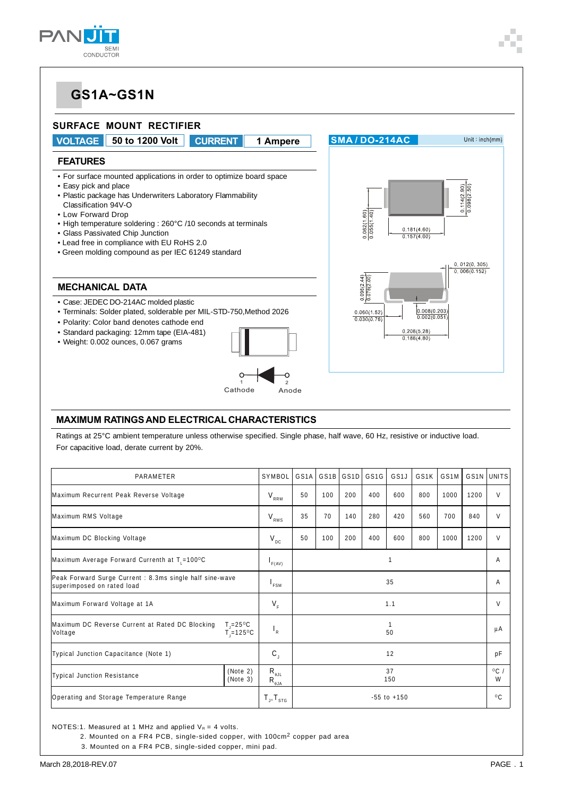



#### **MAXIMUM RATINGS AND ELECTRICAL CHARACTERISTICS**

Ratings at 25°C ambient temperature unless otherwise specified. Single phase, half wave, 60 Hz, resistive or inductive load. For capacitive load, derate current by 20%.

| PARAMETER                                                                                              |                      |                                                         | GS <sub>1</sub> A | GS <sub>1</sub> B | GS <sub>1</sub> D | GS <sub>1</sub> G | GS <sub>1</sub> J | GS <sub>1</sub> K | GS1M |              | GS1N UNITS |
|--------------------------------------------------------------------------------------------------------|----------------------|---------------------------------------------------------|-------------------|-------------------|-------------------|-------------------|-------------------|-------------------|------|--------------|------------|
| Maximum Recurrent Peak Reverse Voltage                                                                 |                      |                                                         | 50                | 100               | 200               | 400               | 600               | 800               | 1000 | 1200         | $\vee$     |
| Maximum RMS Voltage                                                                                    |                      |                                                         | 35                | 70                | 140               | 280               | 420               | 560               | 700  | 840          | $\vee$     |
| Maximum DC Blocking Voltage                                                                            |                      |                                                         | 50                | 100               | 200               | 400               | 600               | 800               | 1000 | 1200         | $\vee$     |
| Maximum Average Forward Currenth at $T_1 = 100^{\circ}C$                                               |                      |                                                         |                   |                   |                   |                   |                   |                   | A    |              |            |
| Peak Forward Surge Current : 8.3ms single half sine-wave<br>superimposed on rated load                 |                      |                                                         | 35                |                   |                   |                   |                   | A                 |      |              |            |
| Maximum Forward Voltage at 1A                                                                          |                      |                                                         | 1.1               |                   |                   |                   |                   | V                 |      |              |            |
| Maximum DC Reverse Current at Rated DC Blocking<br>$T_{\rm j}$ =25°C<br>$\tilde{T}$ = 125°C<br>Voltage |                      | $\mathsf{I}_{\mathsf{R}}$                               | 50                |                   |                   |                   |                   |                   | μA   |              |            |
| Typical Junction Capacitance (Note 1)                                                                  |                      | $\mathbf{C}_{\mathrm{J}}$                               |                   |                   |                   |                   | 12                |                   |      |              | pF         |
| <b>Typical Junction Resistance</b>                                                                     | (Note 2)<br>(Note 3) | $R_{\theta JL}$<br>$R_{\underline{\theta\downarrow A}}$ | 37<br>150         |                   |                   |                   | $^{\circ}$ C<br>W |                   |      |              |            |
| Operating and Storage Temperature Range                                                                |                      | $T_{J}$ , $T_{\text{src}}$                              | $-55$ to $+150$   |                   |                   |                   |                   |                   |      | $^{\circ}$ C |            |

NOTES:1. Measured at 1 MHz and applied  $V_R = 4$  volts.

2. Mounted on a FR4 PCB, single-sided copper, with 100cm2 copper pad area

3. Mounted on a FR4 PCB, single-sided copper, mini pad.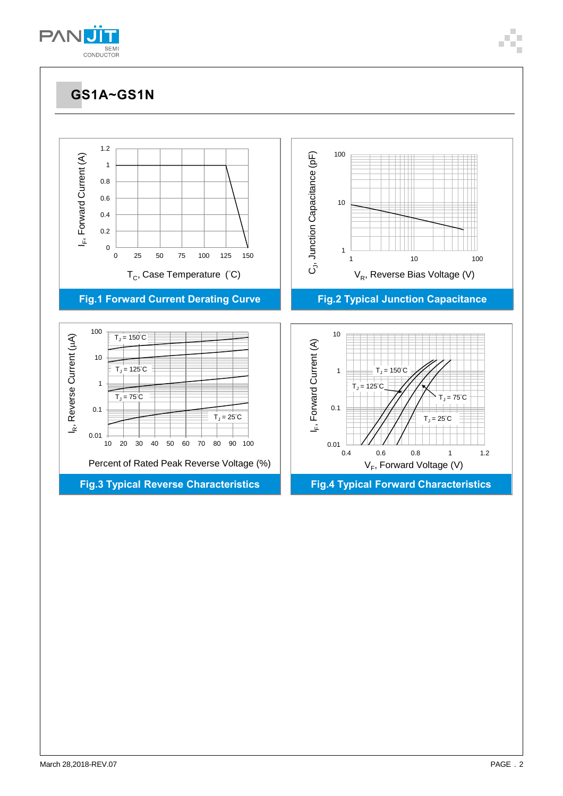



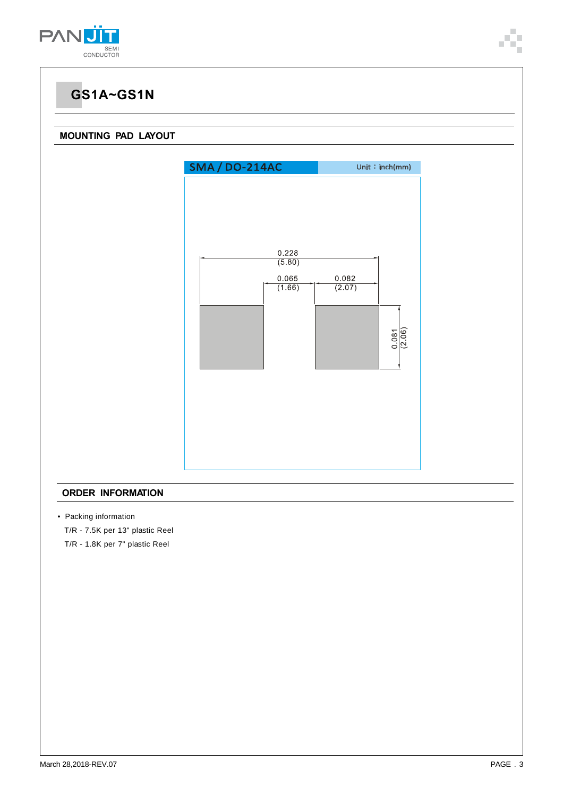

#### **MOUNTING PAD LAYOUT**



#### **ORDER INFORMATION**

• Packing information

T/R - 7.5K per 13" plastic Reel

T/R - 1.8K per 7" plastic Reel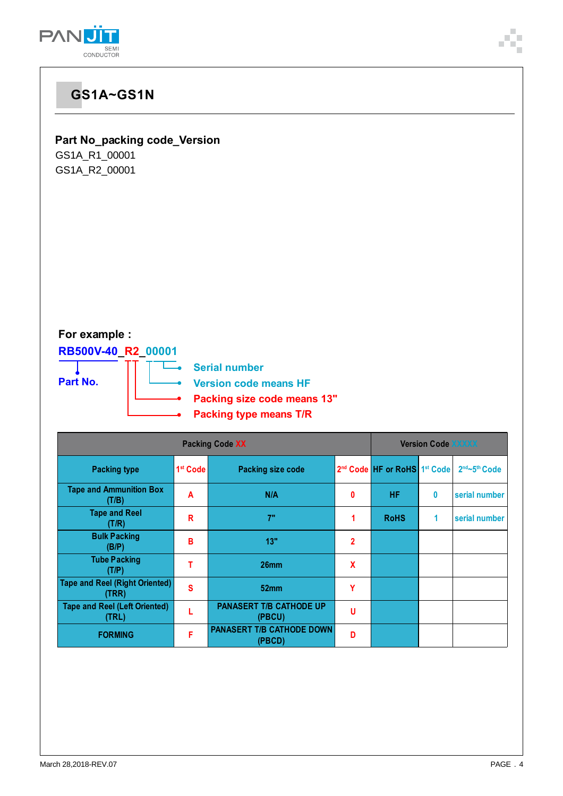

#### **Part No\_packing code\_Version**

GS1A\_R1\_00001 GS1A\_R2\_00001

### **For example :**

**RB500V-40\_R2\_00001**



—<br>
Serial number

**Version code means HF**

- **Packing size code means 13"**
- **Packing type means T/R**

| <b>Packing Code XX</b>                         |                      |                                            |                | <b>Version Code XXXXX</b>                            |   |               |  |  |  |
|------------------------------------------------|----------------------|--------------------------------------------|----------------|------------------------------------------------------|---|---------------|--|--|--|
| <b>Packing type</b>                            | 1 <sup>st</sup> Code | <b>Packing size code</b>                   |                | 2 <sup>nd</sup> Code HF or RoHS 1 <sup>st</sup> Code |   | 2nd~5th Code  |  |  |  |
| <b>Tape and Ammunition Box</b><br>(T/B)        | A                    | N/A                                        | 0              | <b>HF</b>                                            | 0 | serial number |  |  |  |
| <b>Tape and Reel</b><br>(T/R)                  | R                    | 7"                                         |                | <b>RoHS</b>                                          | 1 | serial number |  |  |  |
| <b>Bulk Packing</b><br>(B/P)                   | в                    | 13"                                        | $\overline{2}$ |                                                      |   |               |  |  |  |
| <b>Tube Packing</b><br>(T/P)                   |                      | 26 <sub>mm</sub>                           | X              |                                                      |   |               |  |  |  |
| <b>Tape and Reel (Right Oriented)</b><br>(TRR) | S                    | 52 <sub>mm</sub>                           | Υ              |                                                      |   |               |  |  |  |
| <b>Tape and Reel (Left Oriented)</b><br>(TRL)  |                      | <b>PANASERT T/B CATHODE UP</b><br>(PBCU)   | u              |                                                      |   |               |  |  |  |
| <b>FORMING</b>                                 | F                    | <b>PANASERT T/B CATHODE DOWN</b><br>(PBCD) | D              |                                                      |   |               |  |  |  |